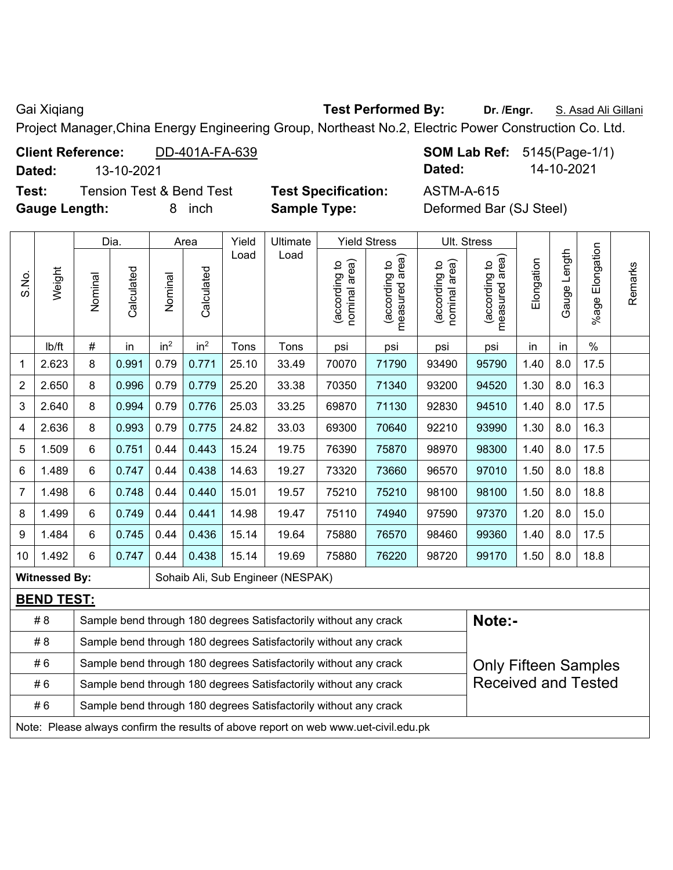Gai Xiqiang **Test Performed By:** Dr. /Engr. **S. Asad Ali Gillani** Gillani

Project Manager,China Energy Engineering Group, Northeast No.2, Electric Power Construction Co. Ltd.

**Client Reference:** DD-401A-FA-639 **SOM Lab Ref:** 5145(Page-1/1) **Dated:** 13-10-2021 **Dated:** 14-10-2021

| Test:          |                                                                                                       |                |            |                 | <b>Tension Test &amp; Bend Test</b><br><b>Test Specification:</b> |               |                                                                                     |                                |                                 | <b>ASTM-A-615</b>              |                                 |            |              |                    |         |
|----------------|-------------------------------------------------------------------------------------------------------|----------------|------------|-----------------|-------------------------------------------------------------------|---------------|-------------------------------------------------------------------------------------|--------------------------------|---------------------------------|--------------------------------|---------------------------------|------------|--------------|--------------------|---------|
|                | <b>Gauge Length:</b>                                                                                  |                |            | 8               | inch                                                              |               | <b>Sample Type:</b>                                                                 |                                |                                 |                                | Deformed Bar (SJ Steel)         |            |              |                    |         |
|                |                                                                                                       |                |            |                 |                                                                   |               |                                                                                     |                                |                                 |                                |                                 |            |              |                    |         |
|                |                                                                                                       |                | Dia.       |                 | Area                                                              | Yield<br>Load | Ultimate<br>Load                                                                    |                                | <b>Yield Stress</b>             |                                | Ult. Stress                     |            |              |                    |         |
| S.No.          | Weight                                                                                                | Nominal        | Calculated | Nominal         | Calculated                                                        |               |                                                                                     | nominal area)<br>(according to | (according to<br>measured area) | (according to<br>nominal area) | (according to<br>measured area) | Elongation | Gauge Length | Elongation<br>%age | Remarks |
|                | lb/ft                                                                                                 | $\#$           | in         | in <sup>2</sup> | in <sup>2</sup>                                                   | Tons          | Tons                                                                                | psi                            | psi                             | psi                            | psi                             | in         | in           | $\%$               |         |
| $\mathbf{1}$   | 2.623                                                                                                 | 8              | 0.991      | 0.79            | 0.771                                                             | 25.10         | 33.49                                                                               | 70070                          | 71790                           | 93490                          | 95790                           | 1.40       | 8.0          | 17.5               |         |
| $\overline{2}$ | 2.650                                                                                                 | 8              | 0.996      | 0.79            | 0.779                                                             | 25.20         | 33.38                                                                               | 70350                          | 71340                           | 93200                          | 94520                           | 1.30       | 8.0          | 16.3               |         |
| 3              | 2.640                                                                                                 | 8              | 0.994      | 0.79            | 0.776                                                             | 25.03         | 33.25                                                                               | 69870                          | 71130                           | 92830                          | 94510                           | 1.40       | 8.0          | 17.5               |         |
| 4              | 2.636                                                                                                 | 8              | 0.993      | 0.79            | 0.775                                                             | 24.82         | 33.03                                                                               | 69300                          | 70640                           | 92210                          | 93990                           | 1.30       | 8.0          | 16.3               |         |
| 5              | 1.509                                                                                                 | 6              | 0.751      | 0.44            | 0.443                                                             | 15.24         | 19.75                                                                               | 76390                          | 75870                           | 98970                          | 98300                           | 1.40       | 8.0          | 17.5               |         |
| 6              | 1.489                                                                                                 | 6              | 0.747      | 0.44            | 0.438                                                             | 14.63         | 19.27                                                                               | 73320                          | 73660                           | 96570                          | 97010                           | 1.50       | 8.0          | 18.8               |         |
| $\overline{7}$ | 1.498                                                                                                 | $6\phantom{1}$ | 0.748      | 0.44            | 0.440                                                             | 15.01         | 19.57                                                                               | 75210                          | 75210                           | 98100                          | 98100                           | 1.50       | 8.0          | 18.8               |         |
| 8              | 1.499                                                                                                 | $6\phantom{1}$ | 0.749      | 0.44            | 0.441                                                             | 14.98         | 19.47                                                                               | 75110                          | 74940                           | 97590                          | 97370                           | 1.20       | 8.0          | 15.0               |         |
| 9              | 1.484                                                                                                 | 6              | 0.745      | 0.44            | 0.436                                                             | 15.14         | 19.64                                                                               | 75880                          | 76570                           | 98460                          | 99360                           | 1.40       | 8.0          | 17.5               |         |
| 10             | 1.492                                                                                                 | 6              | 0.747      | 0.44            | 0.438                                                             | 15.14         | 19.69                                                                               | 75880                          | 76220                           | 98720                          | 99170                           | 1.50       | 8.0          | 18.8               |         |
|                | <b>Witnessed By:</b>                                                                                  |                |            |                 |                                                                   |               | Sohaib Ali, Sub Engineer (NESPAK)                                                   |                                |                                 |                                |                                 |            |              |                    |         |
|                | <b>BEND TEST:</b>                                                                                     |                |            |                 |                                                                   |               |                                                                                     |                                |                                 |                                |                                 |            |              |                    |         |
|                | #8                                                                                                    |                |            |                 |                                                                   |               | Sample bend through 180 degrees Satisfactorily without any crack                    |                                |                                 |                                | Note:-                          |            |              |                    |         |
|                | #8                                                                                                    |                |            |                 |                                                                   |               | Sample bend through 180 degrees Satisfactorily without any crack                    |                                |                                 |                                |                                 |            |              |                    |         |
|                | #6<br>Sample bend through 180 degrees Satisfactorily without any crack<br><b>Only Fifteen Samples</b> |                |            |                 |                                                                   |               |                                                                                     |                                |                                 |                                |                                 |            |              |                    |         |
|                | #6                                                                                                    |                |            |                 |                                                                   |               | Sample bend through 180 degrees Satisfactorily without any crack                    |                                |                                 |                                | <b>Received and Tested</b>      |            |              |                    |         |
|                | #6<br>Sample bend through 180 degrees Satisfactorily without any crack                                |                |            |                 |                                                                   |               |                                                                                     |                                |                                 |                                |                                 |            |              |                    |         |
|                |                                                                                                       |                |            |                 |                                                                   |               | Note: Please always confirm the results of above report on web www.uet-civil.edu.pk |                                |                                 |                                |                                 |            |              |                    |         |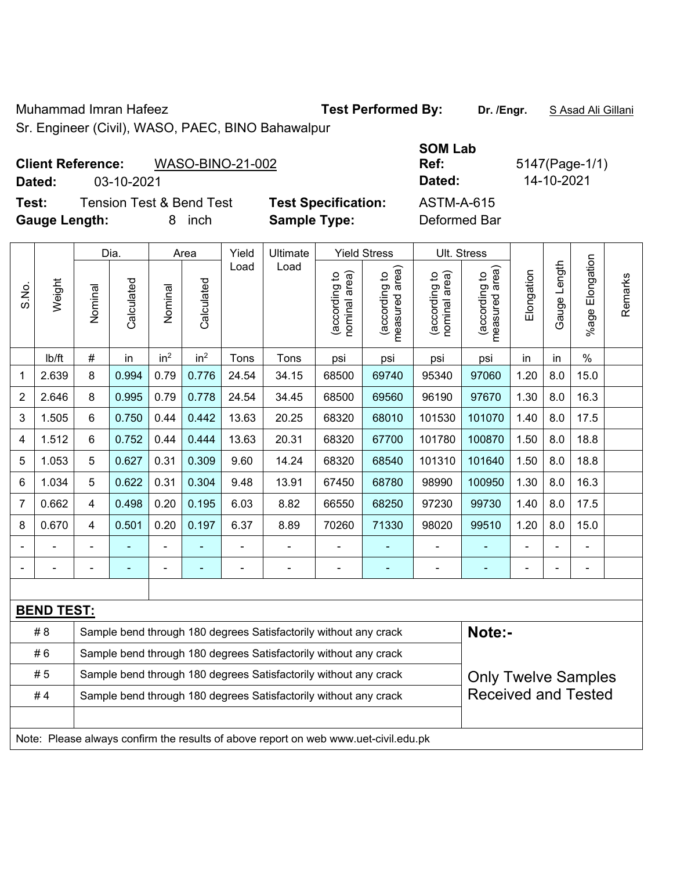Muhammad Imran Hafeez **Test Performed By: Dr. /Engr.** S Asad Ali Gillani

Sr. Engineer (Civil), WASO, PAEC, BINO Bahawalpur

 $\blacksquare$ 

## **Client Reference:** WASO-BINO-21-002

 $\overline{\phantom{a}}$ 

**Test:** Tension Test & Bend Test **Test Specification: Gauge Length:** 8 inch **Sample Type:** Deformed Bar

 $\overline{\phantom{a}}$ 

|                |                                                     |                                     | <b>SOM Lab</b> |              |
|----------------|-----------------------------------------------------|-------------------------------------|----------------|--------------|
|                | <b>Client Reference:</b><br><b>WASO-BINO-21-002</b> |                                     | Ref:           | 5147(Page-1) |
| Dated:         | 03-10-2021                                          |                                     | Dated:         | 14-10-2021   |
| Test:          | <b>Tension Test &amp; Bend Test</b>                 | <b>Test Specification:</b>          | ASTM-A-615     |              |
| October London | الممنات الم                                         | Communications of the Communication | Defenseed Des  |              |

|                |                   | Dia.<br><b>Yield Stress</b><br>Ult. Stress<br>Yield<br>Ultimate<br>Area                        |                          |                 |                 |                |                                                                                     |                               |                                 |                                |                                             |                |              |                          |         |
|----------------|-------------------|------------------------------------------------------------------------------------------------|--------------------------|-----------------|-----------------|----------------|-------------------------------------------------------------------------------------|-------------------------------|---------------------------------|--------------------------------|---------------------------------------------|----------------|--------------|--------------------------|---------|
| S.No.          | Weight            | Nominal                                                                                        | Calculated               | Nominal         | Calculated      | Load           | Load                                                                                | nominal area)<br>decording to | measured area)<br>(according to | (according to<br>nominal area) | (according to<br>measured area)<br>measured | Elongation     | Gauge Length | Elongation<br>$%$ age    | Remarks |
|                | Ib/ft             | $\#$                                                                                           | in                       | in <sup>2</sup> | in <sup>2</sup> | Tons           | Tons                                                                                | psi                           | psi                             | psi                            | psi                                         | in             | in           | $\%$                     |         |
| 1              | 2.639             | 8                                                                                              | 0.994                    | 0.79            | 0.776           | 24.54          | 34.15                                                                               | 68500                         | 69740                           | 95340                          | 97060                                       | 1.20           | 8.0          | 15.0                     |         |
| $\overline{c}$ | 2.646             | 8                                                                                              | 0.995                    | 0.79            | 0.778           | 24.54          | 34.45                                                                               | 68500                         | 69560                           | 96190                          | 97670                                       | 1.30           | 8.0          | 16.3                     |         |
| 3              | 1.505             | 6                                                                                              | 0.750                    | 0.44            | 0.442           | 13.63          | 20.25                                                                               | 68320                         | 68010                           | 101530                         | 101070                                      | 1.40           | 8.0          | 17.5                     |         |
| 4              | 1.512             | $6\phantom{1}$                                                                                 | 0.752                    | 0.44            | 0.444           | 13.63          | 20.31                                                                               | 68320                         | 67700                           | 101780                         | 100870                                      | 1.50           | 8.0          | 18.8                     |         |
| 5              | 1.053             | 5                                                                                              | 0.627                    | 0.31            | 0.309           | 9.60           | 14.24                                                                               | 68320                         | 68540                           | 101310                         | 101640                                      | 1.50           | 8.0          | 18.8                     |         |
| 6              | 1.034             | 5                                                                                              | 0.622                    | 0.31            | 0.304           | 9.48           | 13.91                                                                               | 67450                         | 68780                           | 98990                          | 100950                                      | 1.30           | 8.0          | 16.3                     |         |
| 7              | 0.662             | 4                                                                                              | 0.498                    | 0.20            | 0.195           | 6.03           | 8.82                                                                                | 66550                         | 68250                           | 97230                          | 99730                                       | 1.40           | 8.0          | 17.5                     |         |
| 8              | 0.670             | 4                                                                                              | 0.501                    | 0.20            | 0.197           | 6.37           | 8.89                                                                                | 70260                         | 71330                           | 98020                          | 99510                                       | 1.20           | 8.0          | 15.0                     |         |
|                |                   |                                                                                                |                          |                 |                 | $\overline{a}$ | $\blacksquare$                                                                      | $\overline{a}$                |                                 |                                |                                             |                |              |                          |         |
| ۰              |                   |                                                                                                | $\overline{\phantom{0}}$ | $\blacksquare$  | $\overline{a}$  | $\overline{a}$ | $\blacksquare$                                                                      |                               | ٠                               | $\overline{a}$                 | $\overline{\phantom{0}}$                    | $\blacksquare$ | ۰            | $\overline{\phantom{0}}$ |         |
|                |                   |                                                                                                |                          |                 |                 |                |                                                                                     |                               |                                 |                                |                                             |                |              |                          |         |
|                | <b>BEND TEST:</b> |                                                                                                |                          |                 |                 |                |                                                                                     |                               |                                 |                                |                                             |                |              |                          |         |
|                | # 8               |                                                                                                |                          |                 |                 |                | Sample bend through 180 degrees Satisfactorily without any crack                    |                               |                                 |                                | Note:-                                      |                |              |                          |         |
|                | #6                |                                                                                                |                          |                 |                 |                | Sample bend through 180 degrees Satisfactorily without any crack                    |                               |                                 |                                |                                             |                |              |                          |         |
|                | #5                | Sample bend through 180 degrees Satisfactorily without any crack<br><b>Only Twelve Samples</b> |                          |                 |                 |                |                                                                                     |                               |                                 |                                |                                             |                |              |                          |         |
|                | #4                |                                                                                                |                          |                 |                 |                | Sample bend through 180 degrees Satisfactorily without any crack                    |                               |                                 |                                | <b>Received and Tested</b>                  |                |              |                          |         |
|                |                   |                                                                                                |                          |                 |                 |                |                                                                                     |                               |                                 |                                |                                             |                |              |                          |         |
|                |                   |                                                                                                |                          |                 |                 |                | Note: Please always confirm the results of above report on web www.uet-civil.edu.pk |                               |                                 |                                |                                             |                |              |                          |         |

**Ref:** 5147(Page-1/1)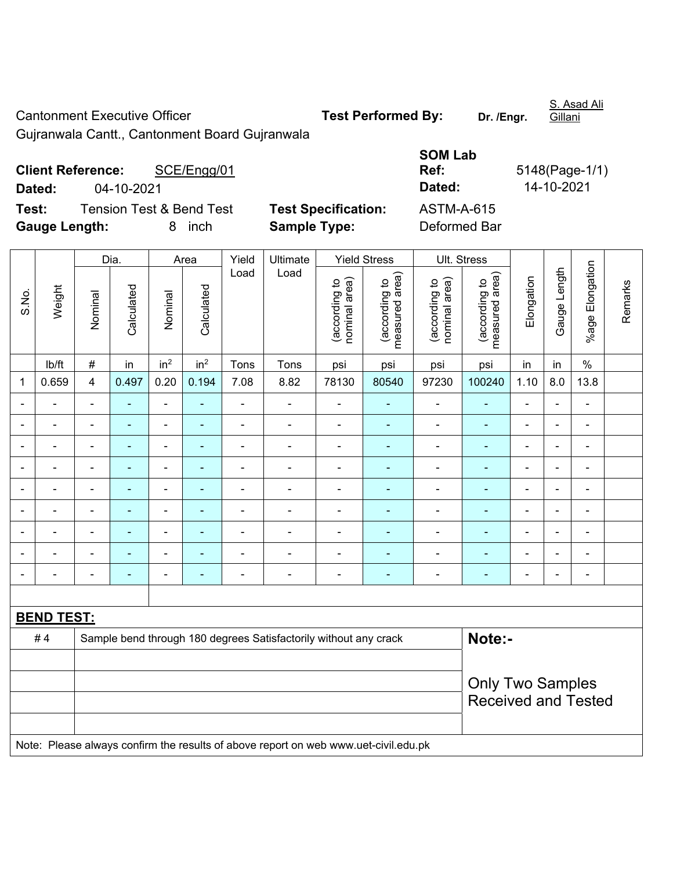Cantonment Executive Officer **Test Performed By:** Dr. /Engr.

S. Asad Ali Gillani

Gujranwala Cantt., Cantonment Board Gujranwala

| <b>Client Reference:</b> |            | SCE/Engg/01                         |                            | <b>Ref:</b>  | 5148(Page-1/ |
|--------------------------|------------|-------------------------------------|----------------------------|--------------|--------------|
| Dated:                   | 04-10-2021 |                                     |                            | Dated:       | 14-10-2021   |
| Test:                    |            | <b>Tension Test &amp; Bend Test</b> | <b>Test Specification:</b> | ASTM-A-615   |              |
| <b>Gauge Length:</b>     |            | inch<br>8                           | <b>Sample Type:</b>        | Deformed Bar |              |

| <b>SOM Lab</b> |                |
|----------------|----------------|
| Ref:           | 5148(Page-1/1) |
| Dated:         | 14-10-2021     |
| ASTM-A-615     |                |
| Deformed Bar   |                |

|                |                   |                              | Dia.           |                          | Area            | Yield                    | Ultimate<br>Load<br>Load                                                            |                                | <b>Yield Stress</b>             |                                | Ult. Stress                     |                |                |                           |         |
|----------------|-------------------|------------------------------|----------------|--------------------------|-----------------|--------------------------|-------------------------------------------------------------------------------------|--------------------------------|---------------------------------|--------------------------------|---------------------------------|----------------|----------------|---------------------------|---------|
| S.No.          | Weight            | Nominal                      | Calculated     | Nominal                  | Calculated      |                          |                                                                                     | nominal area)<br>(according to | (according to<br>measured area) | nominal area)<br>(according to | (according to<br>measured area) | Elongation     | Gauge Length   | Elongation<br>$%$ age $I$ | Remarks |
|                | lb/ft             | $\#$                         | in             | in <sup>2</sup>          | in <sup>2</sup> | Tons                     | Tons                                                                                | psi                            | psi                             | psi                            | psi                             | in             | in             | $\%$                      |         |
| 1              | 0.659             | 4                            | 0.497          | 0.20                     | 0.194           | 7.08                     | 8.82                                                                                | 78130                          | 80540                           | 97230                          | 100240                          | 1.10           | 8.0            | 13.8                      |         |
|                |                   | $\blacksquare$               |                | ä,                       |                 | $\blacksquare$           | ÷.                                                                                  | $\blacksquare$                 |                                 | ä,                             | ÷                               | $\blacksquare$ |                | $\blacksquare$            |         |
| $\blacksquare$ | $\blacksquare$    | $\blacksquare$               | $\blacksquare$ | ä,                       | $\blacksquare$  | ÷                        | $\blacksquare$                                                                      | $\blacksquare$                 | $\blacksquare$                  | ÷,                             | $\blacksquare$                  | $\blacksquare$ | $\blacksquare$ | $\blacksquare$            |         |
| $\blacksquare$ | $\blacksquare$    | $\blacksquare$               | $\blacksquare$ | $\blacksquare$           | $\blacksquare$  | Ē,                       | $\blacksquare$                                                                      | $\blacksquare$                 | $\blacksquare$                  | ä,                             | $\blacksquare$                  | $\blacksquare$ | $\blacksquare$ | $\blacksquare$            |         |
| $\blacksquare$ | $\blacksquare$    | $\blacksquare$               | $\blacksquare$ | $\overline{\phantom{a}}$ | $\blacksquare$  | $\blacksquare$           | $\blacksquare$                                                                      | $\blacksquare$                 | $\blacksquare$                  | $\blacksquare$                 | $\blacksquare$                  | ۰              | $\blacksquare$ | $\overline{\phantom{a}}$  |         |
| $\blacksquare$ | ä,                | $\blacksquare$               | $\blacksquare$ | $\blacksquare$           | ä,              | $\blacksquare$           | $\blacksquare$                                                                      | $\blacksquare$                 | $\blacksquare$                  | ä,                             | $\blacksquare$                  | $\blacksquare$ | $\blacksquare$ | $\blacksquare$            |         |
|                | $\blacksquare$    | $\blacksquare$               | $\blacksquare$ | $\blacksquare$           | ä,              | $\blacksquare$           | $\blacksquare$                                                                      | $\blacksquare$                 | $\blacksquare$                  | $\blacksquare$                 | $\blacksquare$                  | ۰              | $\blacksquare$ | $\blacksquare$            |         |
|                |                   |                              | ۰              |                          | $\blacksquare$  | $\overline{\phantom{a}}$ | $\blacksquare$                                                                      | $\blacksquare$                 | $\blacksquare$                  | ÷,                             | $\blacksquare$                  | $\blacksquare$ |                | $\blacksquare$            |         |
|                |                   |                              |                |                          |                 |                          | ÷                                                                                   |                                |                                 |                                |                                 | ÷              |                |                           |         |
| $\blacksquare$ | $\blacksquare$    | $\qquad \qquad \blacksquare$ | ٠              | $\overline{\phantom{0}}$ | ٠               | $\blacksquare$           | $\blacksquare$                                                                      | $\overline{\phantom{0}}$       | $\blacksquare$                  | ä,                             | $\overline{\phantom{a}}$        | $\blacksquare$ | $\blacksquare$ | $\overline{\phantom{a}}$  |         |
|                |                   |                              |                |                          |                 |                          |                                                                                     |                                |                                 |                                |                                 |                |                |                           |         |
|                | <b>BEND TEST:</b> |                              |                |                          |                 |                          |                                                                                     |                                |                                 |                                |                                 |                |                |                           |         |
|                | #4                |                              |                |                          |                 |                          | Sample bend through 180 degrees Satisfactorily without any crack                    |                                |                                 |                                | Note:-                          |                |                |                           |         |
|                |                   |                              |                |                          |                 |                          |                                                                                     |                                |                                 |                                |                                 |                |                |                           |         |
|                |                   |                              |                |                          |                 |                          | <b>Only Two Samples</b>                                                             |                                |                                 |                                |                                 |                |                |                           |         |
|                |                   |                              |                |                          |                 |                          |                                                                                     |                                |                                 |                                | <b>Received and Tested</b>      |                |                |                           |         |
|                |                   |                              |                |                          |                 |                          |                                                                                     |                                |                                 |                                |                                 |                |                |                           |         |
|                |                   |                              |                |                          |                 |                          | Note: Please always confirm the results of above report on web www.uet-civil.edu.pk |                                |                                 |                                |                                 |                |                |                           |         |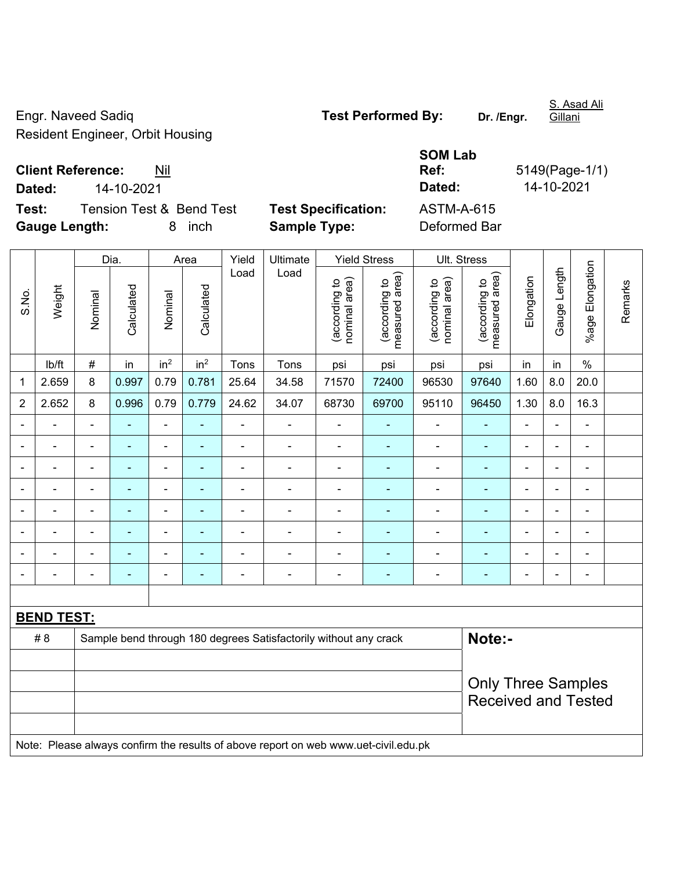Engr. Naveed Sadiq **Test Performed By:** Dr. /Engr. Resident Engineer, Orbit Housing

S. Asad Ali

**Client Reference:** Nil

**Test:** Tension Test & Bend Test **Test Specification:** ASTM-A-615 **Gauge Length:** 8 inch **Sample Type:** Deformed Bar

**SOM Lab Ref:** 5149(Page-1/1) **Dated:** 14-10-2021 **Dated:** 14-10-2021

|                |                   | Ultimate<br>Dia.<br>Yield<br><b>Yield Stress</b><br>Area |            |                 |                 |                |                                                                                     |                                |                                 | Ult. Stress                    |                                 |                |                |                          |         |
|----------------|-------------------|----------------------------------------------------------|------------|-----------------|-----------------|----------------|-------------------------------------------------------------------------------------|--------------------------------|---------------------------------|--------------------------------|---------------------------------|----------------|----------------|--------------------------|---------|
| S.No.          | Weight            | Nominal                                                  | Calculated | Nominal         | Calculated      | Load           | Load                                                                                | nominal area)<br>(according to | measured area)<br>(according to | (according to<br>nominal area) | (according to<br>measured area) | Elongation     | Gauge Length   | %age Elongation          | Remarks |
|                | lb/ft             | $\#$                                                     | in         | in <sup>2</sup> | in <sup>2</sup> | Tons           | Tons                                                                                | psi                            | psi                             | psi                            | psi                             | in             | in             | $\%$                     |         |
| 1              | 2.659             | 8                                                        | 0.997      | 0.79            | 0.781           | 25.64          | 34.58                                                                               | 71570                          | 72400                           | 96530                          | 97640                           | 1.60           | 8.0            | 20.0                     |         |
| $\overline{2}$ | 2.652             | 8                                                        | 0.996      | 0.79            | 0.779           | 24.62          | 34.07                                                                               | 68730                          | 69700                           | 95110                          | 96450                           | 1.30           | 8.0            | 16.3                     |         |
|                |                   |                                                          |            |                 |                 | ä,             | $\blacksquare$                                                                      | ä,                             |                                 | $\blacksquare$                 |                                 |                |                | ä,                       |         |
|                |                   |                                                          | ÷,         | $\blacksquare$  |                 |                | $\blacksquare$                                                                      | $\overline{\phantom{a}}$       |                                 | $\qquad \qquad \blacksquare$   | ä,                              |                |                | $\blacksquare$           |         |
|                | $\blacksquare$    | $\blacksquare$                                           | ä,         | ÷               | $\blacksquare$  | $\blacksquare$ | $\blacksquare$                                                                      | $\blacksquare$                 |                                 | $\blacksquare$                 | $\blacksquare$                  | $\blacksquare$ | $\blacksquare$ | $\blacksquare$           |         |
|                | $\blacksquare$    | $\blacksquare$                                           | ۰          | ÷               | $\blacksquare$  | $\blacksquare$ | $\blacksquare$                                                                      | $\blacksquare$                 | ٠                               | $\blacksquare$                 | $\blacksquare$                  | $\blacksquare$ | $\blacksquare$ | $\blacksquare$           |         |
|                | $\blacksquare$    | $\blacksquare$                                           | ÷,         | ÷               | ٠               | $\blacksquare$ | $\blacksquare$                                                                      | $\blacksquare$                 | $\blacksquare$                  | $\blacksquare$                 | $\blacksquare$                  | $\blacksquare$ |                | $\blacksquare$           |         |
|                |                   |                                                          |            |                 |                 |                | $\blacksquare$                                                                      | Ē,                             |                                 | $\blacksquare$                 | $\blacksquare$                  |                |                | ä,                       |         |
|                |                   |                                                          |            |                 |                 |                |                                                                                     | Ē,                             |                                 | $\blacksquare$                 |                                 |                |                | ÷                        |         |
| $\blacksquare$ | -                 | $\blacksquare$                                           | ۰          | ÷               | $\blacksquare$  | $\blacksquare$ | $\blacksquare$                                                                      | $\blacksquare$                 | $\blacksquare$                  | $\overline{\phantom{a}}$       | $\blacksquare$                  | $\blacksquare$ | $\blacksquare$ | $\overline{\phantom{a}}$ |         |
|                |                   |                                                          |            |                 |                 |                |                                                                                     |                                |                                 |                                |                                 |                |                |                          |         |
|                | <b>BEND TEST:</b> |                                                          |            |                 |                 |                |                                                                                     |                                |                                 |                                |                                 |                |                |                          |         |
|                | # 8               |                                                          |            |                 |                 |                | Sample bend through 180 degrees Satisfactorily without any crack                    |                                |                                 |                                | Note:-                          |                |                |                          |         |
|                |                   |                                                          |            |                 |                 |                |                                                                                     |                                |                                 |                                |                                 |                |                |                          |         |
|                |                   |                                                          |            |                 |                 |                |                                                                                     |                                |                                 |                                | <b>Only Three Samples</b>       |                |                |                          |         |
|                |                   |                                                          |            |                 |                 |                |                                                                                     |                                |                                 |                                | <b>Received and Tested</b>      |                |                |                          |         |
|                |                   |                                                          |            |                 |                 |                |                                                                                     |                                |                                 |                                |                                 |                |                |                          |         |
|                |                   |                                                          |            |                 |                 |                | Note: Please always confirm the results of above report on web www.uet-civil.edu.pk |                                |                                 |                                |                                 |                |                |                          |         |

Gillani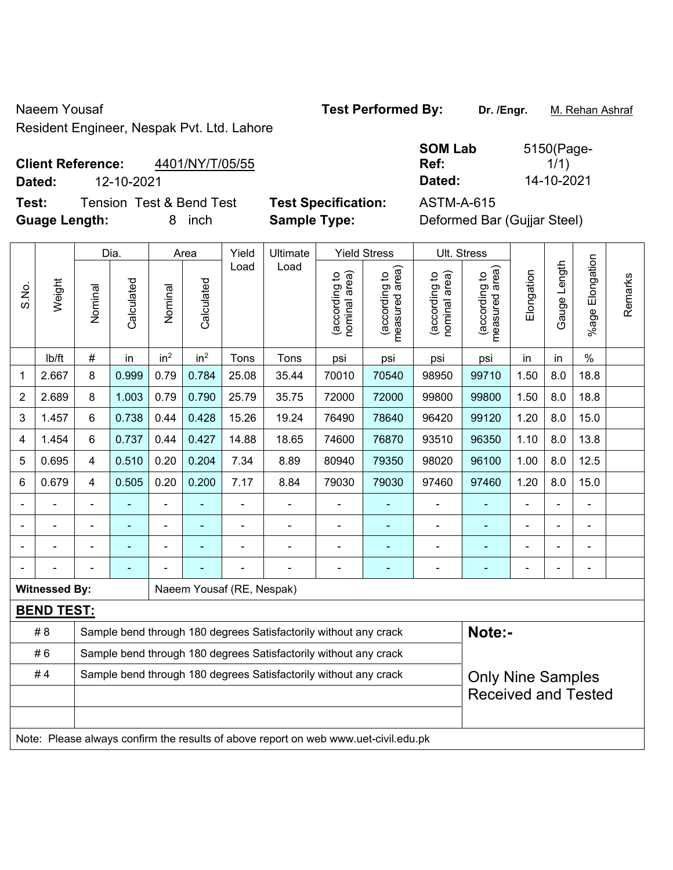## Naeem Yousaf **Test Performed By:** Dr. /Engr. M. Rehan Ashraf Resident Engineer, Nespak Pvt. Ltd. Lahore

## **Client Reference:** 4401/NY/T/05/55

**Test:** Tension Test & Bend Test **Test Specification:** ASTM-A-615 **Guage Length:** 8 inch **Sample Type:** Deformed Bar (Gujjar Steel)

|                | Dia.<br><b>Yield Stress</b><br>Ult. Stress<br>Area |                                                                  |            |                 |                 |                           |                                                                                     |                                |                                 |                                |                                 |            |              |                    |         |
|----------------|----------------------------------------------------|------------------------------------------------------------------|------------|-----------------|-----------------|---------------------------|-------------------------------------------------------------------------------------|--------------------------------|---------------------------------|--------------------------------|---------------------------------|------------|--------------|--------------------|---------|
|                |                                                    |                                                                  |            |                 |                 | Yield                     | Ultimate                                                                            |                                |                                 |                                |                                 |            |              |                    |         |
| S.No.          | Weight                                             | Nominal                                                          | Calculated | Nominal         | Calculated      | Load                      | Load                                                                                | nominal area)<br>(according to | (according to<br>measured area) | (according to<br>nominal area) | measured area)<br>(according to | Elongation | Gauge Length | Elongation<br>%age | Remarks |
|                | lb/ft                                              | $\#$                                                             | in         | in <sup>2</sup> | in <sup>2</sup> | Tons                      | Tons                                                                                | psi                            | psi                             | psi                            | psi                             | in         | in           | $\%$               |         |
| 1              | 2.667                                              | $\bf 8$                                                          | 0.999      | 0.79            | 0.784           | 25.08                     | 35.44                                                                               | 70010                          | 70540                           | 98950                          | 99710                           | 1.50       | 8.0          | 18.8               |         |
| $\overline{2}$ | 2.689                                              | 8                                                                | 1.003      | 0.79            | 0.790           | 25.79                     | 35.75                                                                               | 72000                          | 72000                           | 99800                          | 99800                           | 1.50       | 8.0          | 18.8               |         |
| 3              | 1.457                                              | $6\phantom{1}$                                                   | 0.738      | 0.44            | 0.428           | 15.26                     | 19.24                                                                               | 76490                          | 78640                           | 96420                          | 99120                           | 1.20       | 8.0          | 15.0               |         |
| 4              | 1.454                                              | 6                                                                | 0.737      | 0.44            | 0.427           | 14.88                     | 18.65                                                                               | 74600                          | 76870                           | 93510                          | 96350                           | 1.10       | 8.0          | 13.8               |         |
| 5              | 0.695                                              | 4                                                                | 0.510      | 0.20            | 0.204           | 7.34                      | 8.89                                                                                | 80940                          | 79350                           | 98020                          | 96100                           | 1.00       | 8.0          | 12.5               |         |
| 6              | 0.679                                              | 4                                                                | 0.505      | 0.20            | 0.200           | 7.17                      | 8.84                                                                                | 79030                          | 79030                           | 97460                          | 97460                           | 1.20       | 8.0          | 15.0               |         |
|                |                                                    | ä,                                                               |            | $\blacksquare$  | ÷               | $\blacksquare$            | ÷,                                                                                  | $\overline{\phantom{a}}$       | ÷,                              | $\blacksquare$                 | $\blacksquare$                  |            |              | ÷,                 |         |
|                |                                                    | ä,                                                               |            | $\blacksquare$  | ÷               | $\overline{a}$            | $\blacksquare$                                                                      | $\overline{\phantom{a}}$       | $\blacksquare$                  | $\blacksquare$                 | $\blacksquare$                  |            |              | $\overline{a}$     |         |
|                |                                                    | $\blacksquare$                                                   |            | ÷               | $\blacksquare$  |                           |                                                                                     |                                | ٠                               | $\blacksquare$                 | ÷,                              |            |              | $\blacksquare$     |         |
|                |                                                    |                                                                  |            |                 |                 |                           |                                                                                     | $\blacksquare$                 | $\blacksquare$                  | $\blacksquare$                 | $\blacksquare$                  |            |              | $\blacksquare$     |         |
|                | <b>Witnessed By:</b>                               |                                                                  |            |                 |                 | Naeem Yousaf (RE, Nespak) |                                                                                     |                                |                                 |                                |                                 |            |              |                    |         |
|                | <b>BEND TEST:</b>                                  |                                                                  |            |                 |                 |                           |                                                                                     |                                |                                 |                                |                                 |            |              |                    |         |
|                | # 8                                                |                                                                  |            |                 |                 |                           | Sample bend through 180 degrees Satisfactorily without any crack                    |                                |                                 |                                | Note:-                          |            |              |                    |         |
|                | #6                                                 | Sample bend through 180 degrees Satisfactorily without any crack |            |                 |                 |                           |                                                                                     |                                |                                 |                                |                                 |            |              |                    |         |
|                | #4                                                 |                                                                  |            |                 |                 |                           | Sample bend through 180 degrees Satisfactorily without any crack                    |                                |                                 |                                | <b>Only Nine Samples</b>        |            |              |                    |         |
|                |                                                    |                                                                  |            |                 |                 |                           |                                                                                     |                                |                                 |                                | <b>Received and Tested</b>      |            |              |                    |         |
|                |                                                    |                                                                  |            |                 |                 |                           |                                                                                     |                                |                                 |                                |                                 |            |              |                    |         |
|                |                                                    |                                                                  |            |                 |                 |                           | Note: Please always confirm the results of above report on web www.uet-civil.edu.pk |                                |                                 |                                |                                 |            |              |                    |         |

**SOM Lab Ref:**  5150(Page- $1/1)$ **Dated:** 12-10-2021 **Dated:** 14-10-2021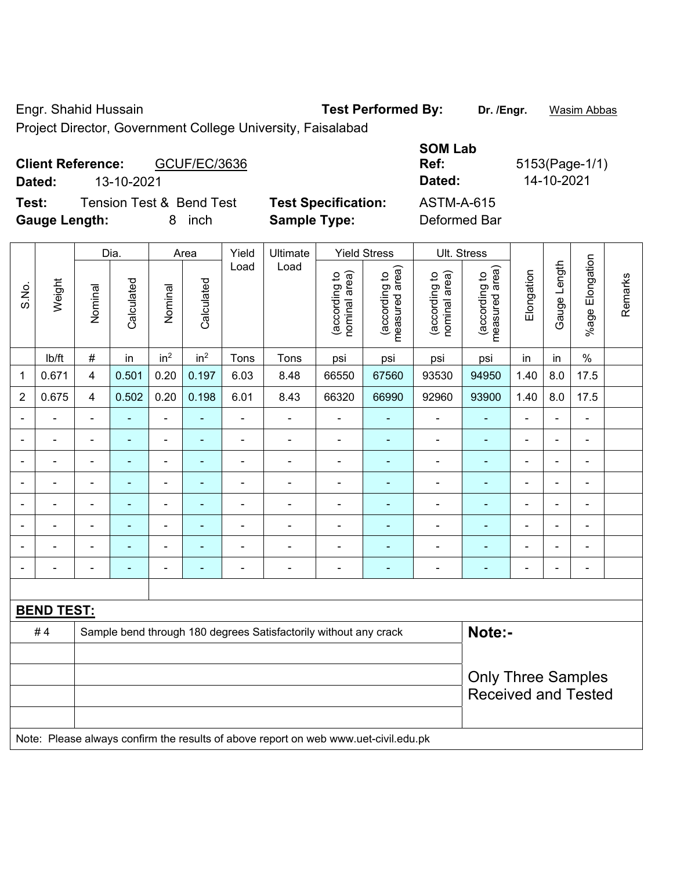Engr. Shahid Hussain **Test Performed By:** Dr. /Engr. **Wasim Abbas** 

Project Director, Government College University, Faisalabad

| <b>GCUF/EC/3636</b><br><b>Client Reference:</b><br>13-10-2021<br>Dated: |                            | <b>SOM Lab</b><br>Ref:<br>Dated: | 5153(Page-1/1)<br>14-10-2021 |
|-------------------------------------------------------------------------|----------------------------|----------------------------------|------------------------------|
| <b>Tension Test &amp; Bend Test</b><br>Test:                            | <b>Test Specification:</b> | <b>ASTM-A-615</b>                |                              |
| <b>Gauge Length:</b><br>inch                                            | <b>Sample Type:</b>        | Deformed Bar                     |                              |

|                |                   |                | Dia.           |                          | Area            | Yield          | Ultimate                                                                            |                                | <b>Yield Stress</b>             |                                | Ult. Stress                     |                                                         |                |                 |         |
|----------------|-------------------|----------------|----------------|--------------------------|-----------------|----------------|-------------------------------------------------------------------------------------|--------------------------------|---------------------------------|--------------------------------|---------------------------------|---------------------------------------------------------|----------------|-----------------|---------|
| S.No.          | Weight            | Nominal        | Calculated     | Nominal                  | Calculated      | Load           | Load                                                                                | nominal area)<br>(according to | measured area)<br>(according to | nominal area)<br>(according to | measured area)<br>(according to | Elongation                                              | Gauge Length   | %age Elongation | Remarks |
|                | Ib/ft             | $\#$           | in             | in <sup>2</sup>          | in <sup>2</sup> | Tons           | Tons                                                                                | psi                            | psi                             | psi                            | psi                             | in                                                      | in             | $\%$            |         |
| 1              | 0.671             | 4              | 0.501          | 0.20                     | 0.197           | 6.03           | 8.48                                                                                | 66550                          | 67560                           | 93530                          | 94950                           | 1.40                                                    | 8.0            | 17.5            |         |
| $\overline{2}$ | 0.675             | 4              | 0.502          | 0.20                     | 0.198           | 6.01           | 8.43                                                                                | 66320                          | 66990                           | 92960                          | 93900                           | 1.40                                                    | 8.0            | 17.5            |         |
| $\blacksquare$ | $\frac{1}{2}$     | $\blacksquare$ | ۰              | $\blacksquare$           | $\blacksquare$  | $\blacksquare$ | $\blacksquare$                                                                      | $\blacksquare$                 | $\blacksquare$                  | $\blacksquare$                 | $\blacksquare$                  | $\blacksquare$                                          | $\blacksquare$ | $\overline{a}$  |         |
|                | $\blacksquare$    | $\blacksquare$ | $\blacksquare$ | ÷                        | $\blacksquare$  | $\blacksquare$ | ÷                                                                                   | $\blacksquare$                 | $\blacksquare$                  | $\blacksquare$                 | $\blacksquare$                  | L,                                                      | $\blacksquare$ | $\blacksquare$  |         |
| $\blacksquare$ | $\blacksquare$    | $\blacksquare$ | $\blacksquare$ | ÷                        | $\blacksquare$  | $\blacksquare$ | $\blacksquare$                                                                      | ä,                             | ٠                               | $\blacksquare$                 | $\blacksquare$                  | $\blacksquare$                                          |                | $\blacksquare$  |         |
|                | ä,                |                |                | $\blacksquare$           |                 | ä,             | Ē,                                                                                  | ä,                             |                                 | $\blacksquare$                 |                                 | L,                                                      |                | $\blacksquare$  |         |
|                |                   |                |                |                          |                 |                |                                                                                     |                                |                                 | $\overline{\phantom{0}}$       |                                 |                                                         |                |                 |         |
|                | $\blacksquare$    |                |                | $\overline{\phantom{0}}$ |                 |                |                                                                                     |                                |                                 |                                |                                 |                                                         |                |                 |         |
| $\blacksquare$ | $\blacksquare$    | $\blacksquare$ | $\blacksquare$ | $\overline{\phantom{0}}$ | ۰               |                | $\blacksquare$                                                                      | $\blacksquare$                 | ٠                               | $\blacksquare$                 | $\blacksquare$                  | $\blacksquare$                                          |                | $\blacksquare$  |         |
| ä,             | $\blacksquare$    | ä,             | $\blacksquare$ | ÷                        | ۰               | $\blacksquare$ | ÷                                                                                   | ä,                             | ÷                               | ÷                              | $\blacksquare$                  | L,                                                      |                | ÷,              |         |
|                |                   |                |                |                          |                 |                |                                                                                     |                                |                                 |                                |                                 |                                                         |                |                 |         |
|                | <b>BEND TEST:</b> |                |                |                          |                 |                |                                                                                     |                                |                                 |                                |                                 |                                                         |                |                 |         |
|                | #4                |                |                |                          |                 |                | Sample bend through 180 degrees Satisfactorily without any crack                    |                                |                                 |                                | Note:-                          |                                                         |                |                 |         |
|                |                   |                |                |                          |                 |                |                                                                                     |                                |                                 |                                |                                 |                                                         |                |                 |         |
|                |                   |                |                |                          |                 |                |                                                                                     |                                |                                 |                                |                                 | <b>Only Three Samples</b><br><b>Received and Tested</b> |                |                 |         |
|                |                   |                |                |                          |                 |                | Note: Please always confirm the results of above report on web www.uet-civil.edu.pk |                                |                                 |                                |                                 |                                                         |                |                 |         |